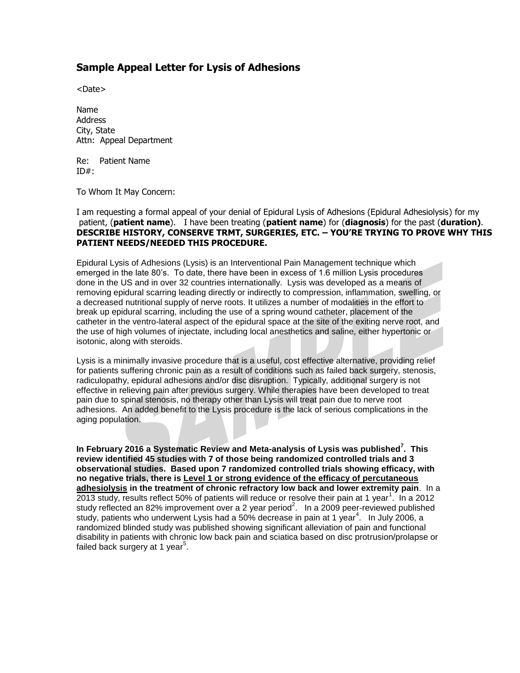## **Sample Appeal Letter for Lysis of Adhesions**

<Date>

Name Address City, State Attn: Appeal Department

Re: Patient Name  $ID#:$ 

To Whom It May Concern:

I am requesting a formal appeal of your denial of Epidural Lysis of Adhesions (Epidural Adhesiolysis) for my patient, (**patient name**). I have been treating (**patient name**) for (**diagnosis**) for the past (**duration)**. **DESCRIBE HISTORY, CONSERVE TRMT, SURGERIES, ETC. – YOU'RE TRYING TO PROVE WHY THIS PATIENT NEEDS/NEEDED THIS PROCEDURE.**

Epidural Lysis of Adhesions (Lysis) is an Interventional Pain Management technique which emerged in the late 80's. To date, there have been in excess of 1.6 million Lysis procedures done in the US and in over 32 countries internationally. Lysis was developed as a means of removing epidural scarring leading directly or indirectly to compression, inflammation, swelling, or a decreased nutritional supply of nerve roots. It utilizes a number of modalities in the effort to break up epidural scarring, including the use of a spring wound catheter, placement of the catheter in the ventro-lateral aspect of the epidural space at the site of the exiting nerve root, and the use of high volumes of injectate, including local anesthetics and saline, either hypertonic or isotonic, along with steroids.

Lysis is a minimally invasive procedure that is a useful, cost effective alternative, providing relief for patients suffering chronic pain as a result of conditions such as failed back surgery, stenosis, radiculopathy, epidural adhesions and/or disc disruption. Typically, additional surgery is not effective in relieving pain after previous surgery. While therapies have been developed to treat pain due to spinal stenosis, no therapy other than Lysis will treat pain due to nerve root adhesions. An added benefit to the Lysis procedure is the lack of serious complications in the aging population.

**In February 2016 a Systematic Review and Meta-analysis of Lysis was published<sup>7</sup> . This review identified 45 studies with 7 of those being randomized controlled trials and 3 observational studies. Based upon 7 randomized controlled trials showing efficacy, with no negative trials, there is Level 1 or strong evidence of the efficacy of percutaneous adhesiolysis in the treatment of chronic refractory low back and lower extremity pain**. In a 2013 study, results reflect 50% of patients will reduce or resolve their pain at 1 year<sup>1</sup>. In a 2012 study reflected an 82% improvement over a 2 year period<sup>2</sup>. In a 2009 peer-reviewed published study, patients who underwent Lysis had a 50% decrease in pain at 1 year<sup>4</sup>. In July 2006, a randomized blinded study was published showing significant alleviation of pain and functional disability in patients with chronic low back pain and sciatica based on disc protrusion/prolapse or failed back surgery at 1 year<sup>5</sup>.